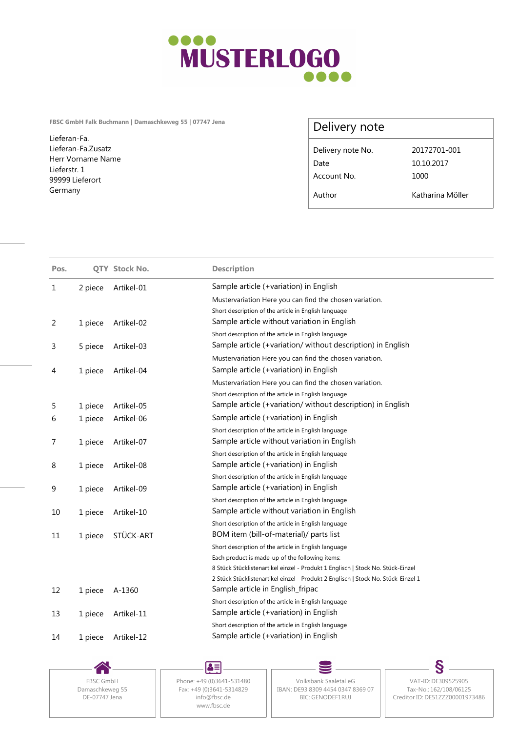

**FBSC GmbH Falk Buchmann | Damaschkeweg 55 | 07747 Jena**

Lieferan-Fa. Lieferan-Fa.Zusatz Herr Vorname Name Lieferstr. 1 99999 Lieferort Germany

## Delivery note

| Delivery note No. | 20172701-001     |  |
|-------------------|------------------|--|
| Date              | 10.10.2017       |  |
| Account No.       | 1000             |  |
| Author            | Katharina Möller |  |

| Pos. |         | QTY Stock No. | <b>Description</b>                                                                                                    |
|------|---------|---------------|-----------------------------------------------------------------------------------------------------------------------|
| 1    | 2 piece | Artikel-01    | Sample article (+variation) in English                                                                                |
|      |         |               | Mustervariation Here you can find the chosen variation.                                                               |
|      |         |               | Short description of the article in English language                                                                  |
| 2    | 1 piece | Artikel-02    | Sample article without variation in English                                                                           |
|      |         |               | Short description of the article in English language                                                                  |
| 3    | 5 piece | Artikel-03    | Sample article (+variation/ without description) in English                                                           |
|      |         |               | Mustervariation Here you can find the chosen variation.                                                               |
| 4    | 1 piece | Artikel-04    | Sample article (+variation) in English                                                                                |
|      |         |               | Mustervariation Here you can find the chosen variation.                                                               |
|      |         |               | Short description of the article in English language                                                                  |
| 5    | 1 piece | Artikel-05    | Sample article (+variation/ without description) in English                                                           |
| 6    | 1 piece | Artikel-06    | Sample article (+variation) in English                                                                                |
|      |         |               | Short description of the article in English language                                                                  |
| 7    | 1 piece | Artikel-07    | Sample article without variation in English                                                                           |
|      |         |               | Short description of the article in English language                                                                  |
| 8    | 1 piece | Artikel-08    | Sample article (+variation) in English                                                                                |
|      |         |               | Short description of the article in English language                                                                  |
| 9    | 1 piece | Artikel-09    | Sample article (+variation) in English                                                                                |
|      |         |               | Short description of the article in English language                                                                  |
| 10   | 1 piece | Artikel-10    | Sample article without variation in English                                                                           |
|      |         |               | Short description of the article in English language                                                                  |
| 11   | 1 piece | STÜCK-ART     | BOM item (bill-of-material)/ parts list                                                                               |
|      |         |               | Short description of the article in English language                                                                  |
|      |         |               | Each product is made-up of the following items:                                                                       |
|      |         |               | 8 Stück Stücklistenartikel einzel - Produkt 1 Englisch   Stock No. Stück-Einzel                                       |
|      |         |               | 2 Stück Stücklistenartikel einzel - Produkt 2 Englisch   Stock No. Stück-Einzel 1<br>Sample article in English_fripac |
| 12   | 1 piece | A-1360        |                                                                                                                       |
|      |         |               | Short description of the article in English language<br>Sample article (+variation) in English                        |
| 13   | 1 piece | Artikel-11    | Short description of the article in English language                                                                  |
|      |         | Artikel-12    | Sample article (+variation) in English                                                                                |
| 14   | 1 piece |               |                                                                                                                       |

DE-07747 Jena

Damaschkeweg 55<br>Damaschkeweg 55<br>DE-07747 Jena info@fbsc.de www.fbsc.de

 $\blacktriangle\equiv$ 

FBSC GmbH | Phone: +49 (0)3641-531480 | Volksbank Saaletal eG Fax: +49 (0)3641-5314829 || IBAN: DE93 8309 4454 0347 8369 07 || Tax-No.: 162/108/06125 info@fbsc.de BIC: GENODEF1RUJ

S Volksbank Saaletal eG VAT-ID: DE309525905 Tax-No.: 162/108/06125 Creditor ID: DE51ZZZ00001973486